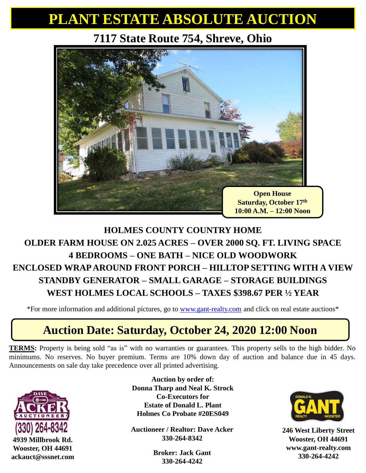## **PLANT ESTATE ABSOLUTE AUCTION**

#### **7117 State Route 754, Shreve, Ohio**



#### **HOLMES COUNTY COUNTRY HOME OLDER FARM HOUSE ON 2.025 ACRES – OVER 2000 SQ. FT. LIVING SPACE 4 BEDROOMS – ONE BATH – NICE OLD WOODWORK ENCLOSED WRAP AROUND FRONT PORCH – HILLTOP SETTING WITH A VIEW STANDBY GENERATOR – SMALL GARAGE – STORAGE BUILDINGS WEST HOLMES LOCAL SCHOOLS – TAXES \$398.67 PER ½ YEAR**

\*For more information and additional pictures, go to [www.gant-realty.com](http://www.gant-realty.com/) and click on real estate auctions\*

### **Auction Date: Saturday, October 24, 2020 12:00 Noon**

**TERMS:** Property is being sold "as is" with no warranties or guarantees. This property sells to the high bidder. No minimums. No reserves. No buyer premium. Terms are 10% down day of auction and balance due in 45 days. Announcements on sale day take precedence over all printed advertising.



**Auction by order of: Donna Tharp and Neal K. Strock Co-Executors for Estate of Donald L. Plant Holmes Co Probate #20ES049**

**Auctioneer / Realtor: Dave Acker 330-264-8342**

> **Broker: Jack Gant 330-264-4242**



**246 West Liberty Street Wooster, OH 44691 www.gant-realty.com 330-264-4242**